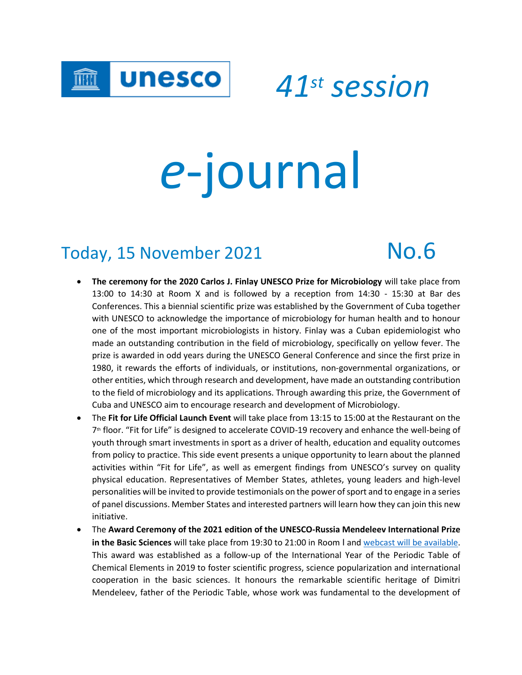

*41st session*

# *e*-journal

## Today, 15 November 2021 No.6

- **The ceremony for the 2020 Carlos J. Finlay UNESCO Prize for Microbiology** will take place from 13:00 to 14:30 at Room X and is followed by a reception from 14:30 - 15:30 at Bar des Conferences. This a biennial scientific prize was established by the Government of Cuba together with UNESCO to acknowledge the importance of microbiology for human health and to honour one of the most important microbiologists in history. Finlay was a Cuban epidemiologist who made an outstanding contribution in the field of microbiology, specifically on yellow fever. The prize is awarded in odd years during the UNESCO General Conference and since the first prize in 1980, it rewards the efforts of individuals, or institutions, non-governmental organizations, or other entities, which through research and development, have made an outstanding contribution to the field of microbiology and its applications. Through awarding this prize, the Government of Cuba and UNESCO aim to encourage research and development of Microbiology.
- The **Fit for Life Official Launch Event** will take place from 13:15 to 15:00 at the Restaurant on the 7<sup>th</sup> floor. "Fit for Life" is designed to accelerate COVID-19 recovery and enhance the well-being of youth through smart investments in sport as a driver of health, education and equality outcomes from policy to practice. This side event presents a unique opportunity to learn about the planned activities within "Fit for Life", as well as emergent findings from UNESCO's survey on quality physical education. Representatives of Member States, athletes, young leaders and high-level personalities will be invited to provide testimonials on the power of sport and to engage in a series of panel discussions. Member States and interested partners will learn how they can join this new initiative.
- The **Award Ceremony of the 2021 edition of the UNESCO-Russia Mendeleev International Prize in the Basic Sciences** will take place from 19:30 to 21:00 in Room I and [webcast will](http://webcast.unesco.org/events/2021-11-Mendeleiev-Prize/) be available. This award was established as a follow-up of the International Year of the Periodic Table of Chemical Elements in 2019 to foster scientific progress, science popularization and international cooperation in the basic sciences. It honours the remarkable scientific heritage of Dimitri Mendeleev, father of the Periodic Table, whose work was fundamental to the development of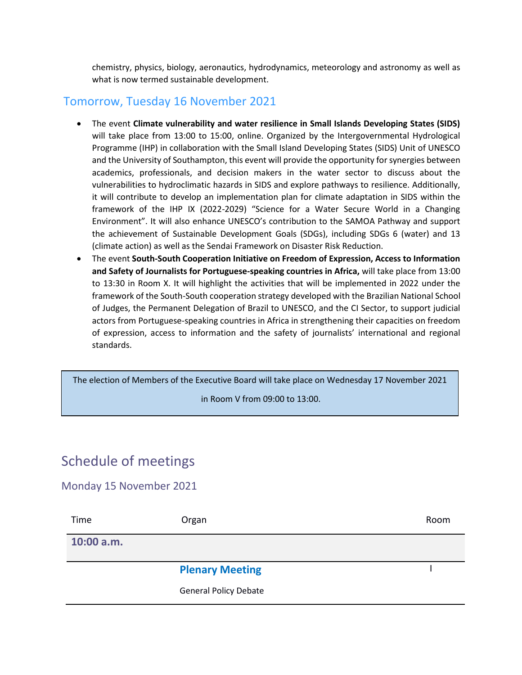chemistry, physics, biology, aeronautics, hydrodynamics, meteorology and astronomy as well as what is now termed sustainable development.

#### Tomorrow, Tuesday 16 November 2021

- The event **Climate vulnerability and water resilience in Small Islands Developing States (SIDS)** will take place from 13:00 to 15:00, online. Organized by the Intergovernmental Hydrological Programme (IHP) in collaboration with the Small Island Developing States (SIDS) Unit of UNESCO and the University of Southampton, this event will provide the opportunity for synergies between academics, professionals, and decision makers in the water sector to discuss about the vulnerabilities to hydroclimatic hazards in SIDS and explore pathways to resilience. Additionally, it will contribute to develop an implementation plan for climate adaptation in SIDS within the framework of the IHP IX (2022-2029) "Science for a Water Secure World in a Changing Environment". It will also enhance UNESCO's contribution to the SAMOA Pathway and support the achievement of Sustainable Development Goals (SDGs), including SDGs 6 (water) and 13 (climate action) as well as the Sendai Framework on Disaster Risk Reduction.
- The event **South-South Cooperation Initiative on Freedom of Expression, Access to Information and Safety of Journalists for Portuguese-speaking countries in Africa,** will take place from 13:00 to 13:30 in Room X. It will highlight the activities that will be implemented in 2022 under the framework of the South-South cooperation strategy developed with the Brazilian National School of Judges, the Permanent Delegation of Brazil to UNESCO, and the CI Sector, to support judicial actors from Portuguese-speaking countries in Africa in strengthening their capacities on freedom of expression, access to information and the safety of journalists' international and regional standards.

The election of Members of the Executive Board will take place on Wednesday 17 November 2021

in Room V from 09:00 to 13:00.

## Schedule of meetings

#### Monday 15 November 2021

| Time       | Organ                        | Room |
|------------|------------------------------|------|
| 10:00 a.m. |                              |      |
|            | <b>Plenary Meeting</b>       |      |
|            | <b>General Policy Debate</b> |      |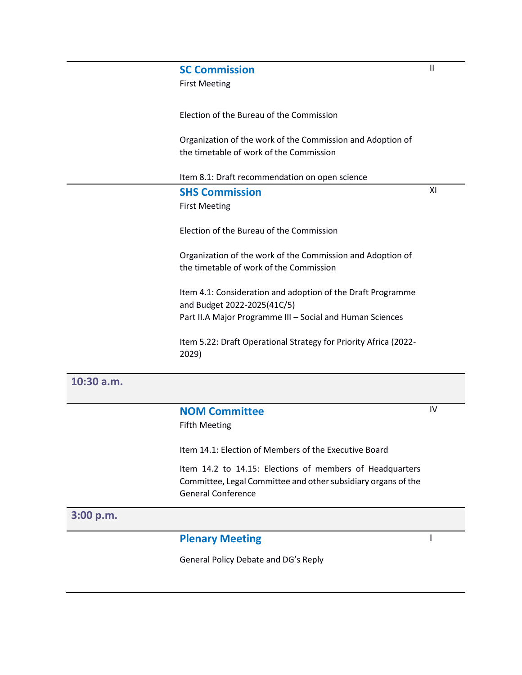| <b>SC Commission</b>                                                                                  | $\mathsf{II}$ |
|-------------------------------------------------------------------------------------------------------|---------------|
| <b>First Meeting</b>                                                                                  |               |
| Election of the Bureau of the Commission                                                              |               |
| Organization of the work of the Commission and Adoption of<br>the timetable of work of the Commission |               |
| Item 8.1: Draft recommendation on open science                                                        |               |
| <b>SHS Commission</b>                                                                                 | XI            |
| <b>First Meeting</b>                                                                                  |               |
| Election of the Bureau of the Commission                                                              |               |
| Organization of the work of the Commission and Adoption of<br>the timetable of work of the Commission |               |
| Item 4.1: Consideration and adoption of the Draft Programme<br>and Budget 2022-2025(41C/5)            |               |
| Part II.A Major Programme III - Social and Human Sciences                                             |               |
| Item 5.22: Draft Operational Strategy for Priority Africa (2022-<br>2029)                             |               |
|                                                                                                       |               |
| NOM Committee                                                                                         | IV            |

#### **NOM Committee**

#### Fifth Meeting

Item 14.1: Election of Members of the Executive Board

Item 14.2 to 14.15: Elections of members of Headquarters Committee, Legal Committee and other subsidiary organs of the General Conference

I

#### **3:00 p.m.**

**10:30 a.m.**

### **Plenary Meeting**

General Policy Debate and DG's Reply